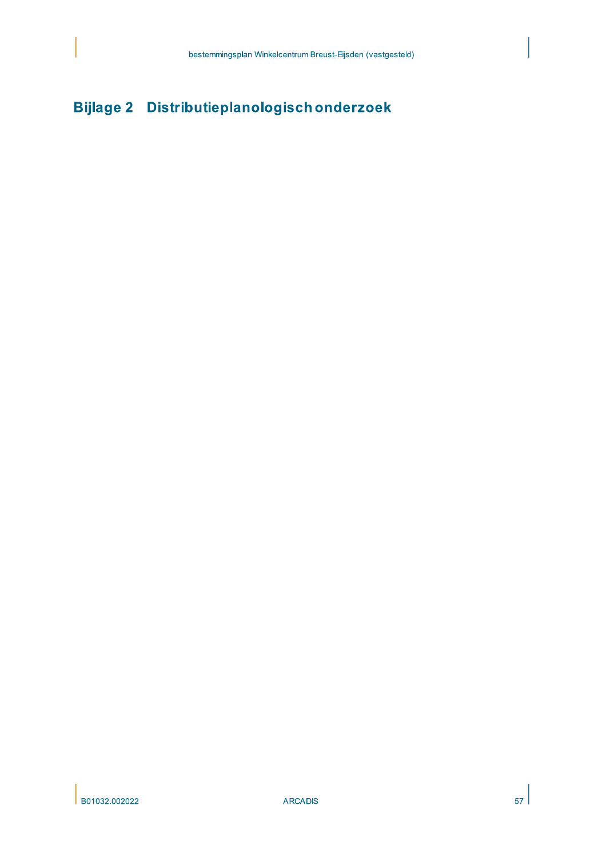# Bijlage 2 Distributieplanologisch onderzoek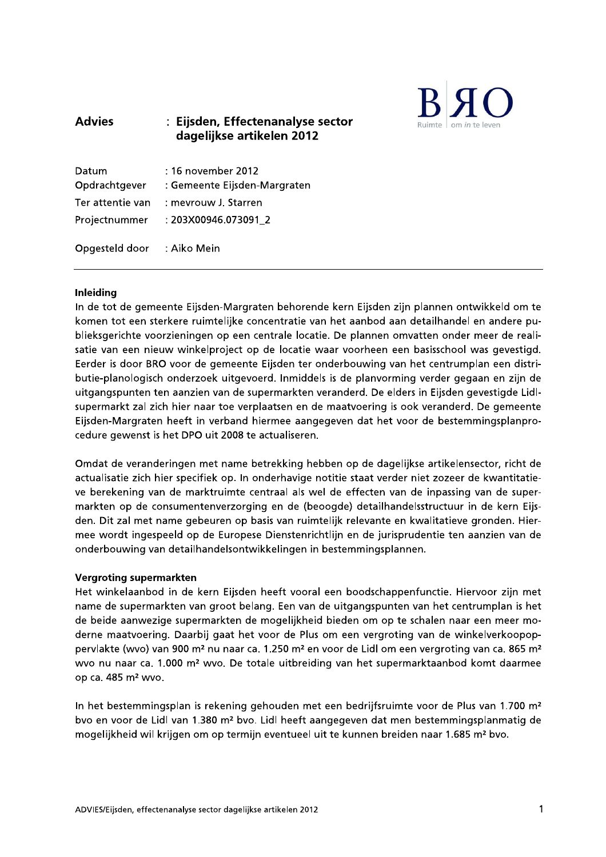

#### **Advies** : Eijsden, Effectenanalyse sector dagelijkse artikelen 2012

| Datum<br>Opdrachtgever | : 16 november 2012<br>: Gemeente Eijsden-Margraten |
|------------------------|----------------------------------------------------|
| Ter attentie van       | : meyrouw J. Starren                               |
| Projectnummer          | : 203X00946.073091 2                               |
| Opgesteld door         | : Aiko Mein                                        |

### **Inleiding**

In de tot de gemeente Eijsden-Margraten behorende kern Eijsden zijn plannen ontwikkeld om te komen tot een sterkere ruimtelijke concentratie van het aanbod aan detailhandel en andere publieksgerichte voorzieningen op een centrale locatie. De plannen omvatten onder meer de realisatie van een nieuw winkelproject op de locatie waar voorheen een basisschool was gevestigd. Eerder is door BRO voor de gemeente Eijsden ter onderbouwing van het centrumplan een distributie-planologisch onderzoek uitgevoerd. Inmiddels is de planvorming verder gegaan en zijn de uitgangspunten ten aanzien van de supermarkten veranderd. De elders in Eijsden gevestigde Lidlsupermarkt zal zich hier naar toe verplaatsen en de maatvoering is ook veranderd. De gemeente Eijsden-Margraten heeft in verband hiermee aangegeven dat het voor de bestemmingsplanprocedure gewenst is het DPO uit 2008 te actualiseren.

Omdat de veranderingen met name betrekking hebben op de dagelijkse artikelensector, richt de actualisatie zich hier specifiek op. In onderhavige notitie staat verder niet zozeer de kwantitatieve berekening van de marktruimte centraal als wel de effecten van de inpassing van de supermarkten op de consumentenverzorging en de (beoogde) detailhandelsstructuur in de kern Eijsden. Dit zal met name gebeuren op basis van ruimtelijk relevante en kwalitatieve gronden. Hiermee wordt ingespeeld op de Europese Dienstenrichtlijn en de jurisprudentie ten aanzien van de onderbouwing van detailhandelsontwikkelingen in bestemmingsplannen.

#### **Vergroting supermarkten**

Het winkelaanbod in de kern Eijsden heeft vooral een boodschappenfunctie. Hiervoor zijn met name de supermarkten van groot belang. Een van de uitgangspunten van het centrumplan is het de beide aanwezige supermarkten de mogelijkheid bieden om op te schalen naar een meer moderne maatvoering. Daarbij gaat het voor de Plus om een vergroting van de winkelverkoopoppervlakte (wvo) van 900 m<sup>2</sup> nu naar ca. 1.250 m<sup>2</sup> en voor de Lidl om een vergroting van ca. 865 m<sup>2</sup> wyo nu naar ca. 1.000 m<sup>2</sup> wyo. De totale uitbreiding van het supermarktaanbod komt daarmee op ca. 485 m<sup>2</sup> wvo.

In het bestemmingsplan is rekening gehouden met een bedrijfsruimte voor de Plus van 1.700 m<sup>2</sup> bvo en voor de Lidl van 1.380 m<sup>2</sup> bvo. Lidl heeft aangegeven dat men bestemmingsplanmatig de mogelijkheid wil krijgen om op termijn eventueel uit te kunnen breiden naar 1.685 m<sup>2</sup> bvo.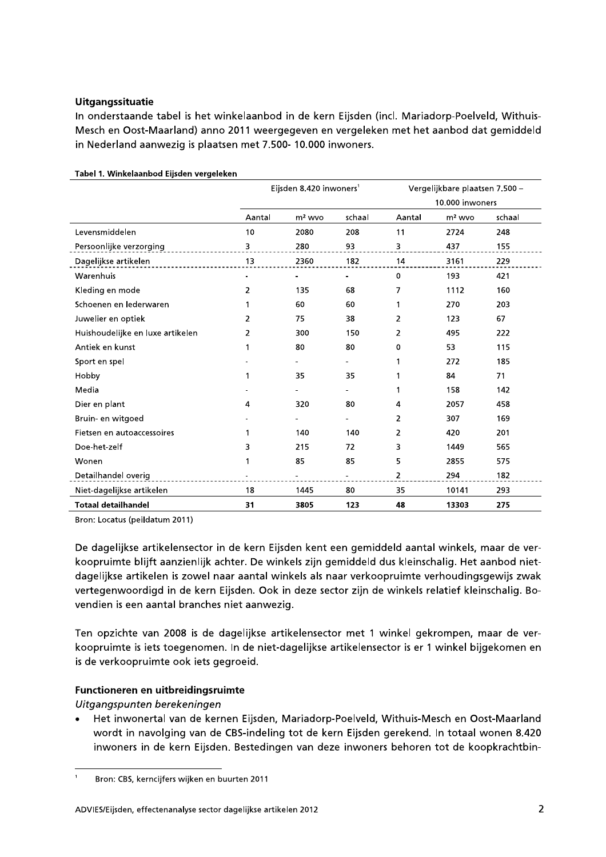### **Uitgangssituatie**

In onderstaande tabel is het winkelaanbod in de kern Eijsden (incl. Mariadorp-Poelveld, Withuis-Mesch en Oost-Maarland) anno 2011 weergegeven en vergeleken met het aanbod dat gemiddeld in Nederland aanwezig is plaatsen met 7.500- 10.000 inwoners.

|                                  | Eijsden 8.420 inwoners <sup>1</sup> |          | Vergelijkbare plaatsen 7.500 - |                 |          |        |  |
|----------------------------------|-------------------------------------|----------|--------------------------------|-----------------|----------|--------|--|
|                                  |                                     |          |                                | 10.000 inwoners |          |        |  |
|                                  | Aantal                              | $m2$ wvo | schaal                         | Aantal          | $m2$ wvo | schaal |  |
| Levensmiddelen                   | 10                                  | 2080     | 208                            | 11              | 2724     | 248    |  |
| Persoonlijke verzorging          | 3                                   | 280      | 93                             | 3               | 437      | 155    |  |
| Dagelijkse artikelen             | 13                                  | 2360     | 182                            | 14              | 3161     | 229    |  |
| Warenhuis                        |                                     |          |                                | 0               | 193      | 421    |  |
| Kleding en mode                  | $\overline{2}$                      | 135      | 68                             | 7               | 1112     | 160    |  |
| Schoenen en lederwaren           | 1                                   | 60       | 60                             | 1               | 270      | 203    |  |
| Juwelier en optiek               | 2                                   | 75       | 38                             | 2               | 123      | 67     |  |
| Huishoudelijke en luxe artikelen | 2                                   | 300      | 150                            | 2               | 495      | 222    |  |
| Antiek en kunst                  | 1                                   | 80       | 80                             | 0               | 53       | 115    |  |
| Sport en spel                    |                                     |          |                                | 1               | 272      | 185    |  |
| Hobby                            | 1                                   | 35       | 35                             | 1               | 84       | 71     |  |
| Media                            |                                     |          |                                | 1               | 158      | 142    |  |
| Dier en plant                    | 4                                   | 320      | 80                             | 4               | 2057     | 458    |  |
| Bruin- en witgoed                |                                     |          |                                | $\overline{2}$  | 307      | 169    |  |
| Fietsen en autoaccessoires       | 1                                   | 140      | 140                            | $\overline{2}$  | 420      | 201    |  |
| Doe-het-zelf                     | 3                                   | 215      | 72                             | 3               | 1449     | 565    |  |
| Wonen                            | 1                                   | 85       | 85                             | 5               | 2855     | 575    |  |
| Detailhandel overig              |                                     |          |                                | 2               | 294      | 182    |  |
| Niet-dagelijkse artikelen        | 18                                  | 1445     | 80                             | 35              | 10141    | 293    |  |
| <b>Totaal detailhandel</b>       | 31                                  | 3805     | 123                            | 48              | 13303    | 275    |  |

Tabel 1. Winkelaanbod Eijsden vergeleken

Bron: Locatus (peildatum 2011)

De dagelijkse artikelensector in de kern Eijsden kent een gemiddeld aantal winkels, maar de verkoopruimte blijft aanzienlijk achter. De winkels zijn gemiddeld dus kleinschalig. Het aanbod nietdagelijkse artikelen is zowel naar aantal winkels als naar verkoopruimte verhoudingsgewijs zwak vertegenwoordigd in de kern Eijsden. Ook in deze sector zijn de winkels relatief kleinschalig. Bovendien is een aantal branches niet aanwezig.

Ten opzichte van 2008 is de dagelijkse artikelensector met 1 winkel gekrompen, maar de verkoopruimte is iets toegenomen. In de niet-dagelijkse artikelensector is er 1 winkel bijgekomen en is de verkoopruimte ook iets gegroeid.

## Functioneren en uitbreidingsruimte

Uitgangspunten berekeningen

Het inwonertal van de kernen Eijsden, Mariadorp-Poelveld, Withuis-Mesch en Oost-Maarland wordt in navolging van de CBS-indeling tot de kern Eijsden gerekend. In totaal wonen 8.420 inwoners in de kern Eijsden. Bestedingen van deze inwoners behoren tot de koopkrachtbin-

Bron: CBS, kerncijfers wijken en buurten 2011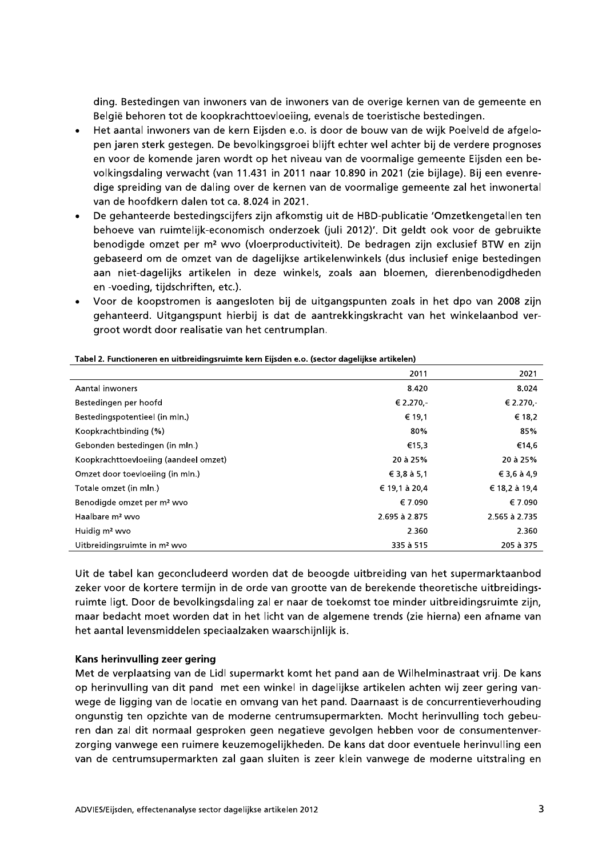ding. Bestedingen van inwoners van de inwoners van de overige kernen van de gemeente en België behoren tot de koopkrachttoevloeiing, evenals de toeristische bestedingen.

- Het aantal inwoners van de kern Eijsden e.o. is door de bouw van de wijk Poelveld de afgelo- $\bullet$ pen jaren sterk gestegen. De bevolkingsgroei blijft echter wel achter bij de verdere prognoses en voor de komende jaren wordt op het niveau van de voormalige gemeente Eijsden een bevolkingsdaling verwacht (van 11.431 in 2011 naar 10.890 in 2021 (zie bijlage). Bij een evenredige spreiding van de daling over de kernen van de voormalige gemeente zal het inwonertal van de hoofdkern dalen tot ca. 8.024 in 2021.
- De gehanteerde bestedingscijfers zijn afkomstig uit de HBD-publicatie 'Omzetkengetallen ten behoeve van ruimtelijk-economisch onderzoek (juli 2012)'. Dit geldt ook voor de gebruikte benodigde omzet per m<sup>2</sup> wvo (vloerproductiviteit). De bedragen zijn exclusief BTW en zijn gebaseerd om de omzet van de dagelijkse artikelenwinkels (dus inclusief enige bestedingen aan niet-dagelijks artikelen in deze winkels, zoals aan bloemen, dierenbenodigdheden en -voeding, tijdschriften, etc.).
- Voor de koopstromen is aangesloten bij de uitgangspunten zoals in het dpo van 2008 zijn  $\bullet$ gehanteerd. Uitgangspunt hierbij is dat de aantrekkingskracht van het winkelaanbod vergroot wordt door realisatie van het centrumplan.

| Tabel 2. Functioneren en uitbreidingsruimte kern Eijsden e.o. (sector dagelijkse artikelen) |  |
|---------------------------------------------------------------------------------------------|--|
|                                                                                             |  |

|                                          | 2011          | 2021          |
|------------------------------------------|---------------|---------------|
| Aantal inwoners                          | 8.420         | 8.024         |
| Bestedingen per hoofd                    | € 2.270,-     | € 2.270,-     |
| Bestedingspotentieel (in mln.)           | € 19,1        | € 18,2        |
| Koopkrachtbinding (%)                    | 80%           | 85%           |
| Gebonden bestedingen (in mln.)           | €15,3         | €14,6         |
| Koopkrachttoevloeiing (aandeel omzet)    | 20 à 25%      | 20 à 25%      |
| Omzet door toevloeiing (in mln.)         | € 3,8 à 5,1   | € 3,6 à 4,9   |
| Totale omzet (in mln.)                   | € 19,1 à 20,4 | € 18,2 à 19,4 |
| Benodigde omzet per m <sup>2</sup> wvo   | € 7.090       | € 7.090       |
| Haalbare m <sup>2</sup> wyo              | 2.695 à 2.875 | 2.565 à 2.735 |
| Huidig m <sup>2</sup> wvo                | 2.360         | 2.360         |
| Uitbreidingsruimte in m <sup>2</sup> wvo | 335 à 515     | 205 à 375     |

Uit de tabel kan geconcludeerd worden dat de beoogde uitbreiding van het supermarktaanbod zeker voor de kortere termijn in de orde van grootte van de berekende theoretische uitbreidingsruimte ligt. Door de bevolkingsdaling zal er naar de toekomst toe minder uitbreidingsruimte zijn, maar bedacht moet worden dat in het licht van de algemene trends (zie hierna) een afname van het aantal levensmiddelen speciaalzaken waarschijnlijk is.

### Kans herinvulling zeer gering

Met de verplaatsing van de Lidl supermarkt komt het pand aan de Wilhelminastraat vrij. De kans op herinvulling van dit pand met een winkel in dagelijkse artikelen achten wij zeer gering vanwege de ligging van de locatie en omvang van het pand. Daarnaast is de concurrentieverhouding ongunstig ten opzichte van de moderne centrumsupermarkten. Mocht herinvulling toch gebeuren dan zal dit normaal gesproken geen negatieve gevolgen hebben voor de consumentenverzorging vanwege een ruimere keuzemogelijkheden. De kans dat door eventuele herinvulling een van de centrumsupermarkten zal gaan sluiten is zeer klein vanwege de moderne uitstraling en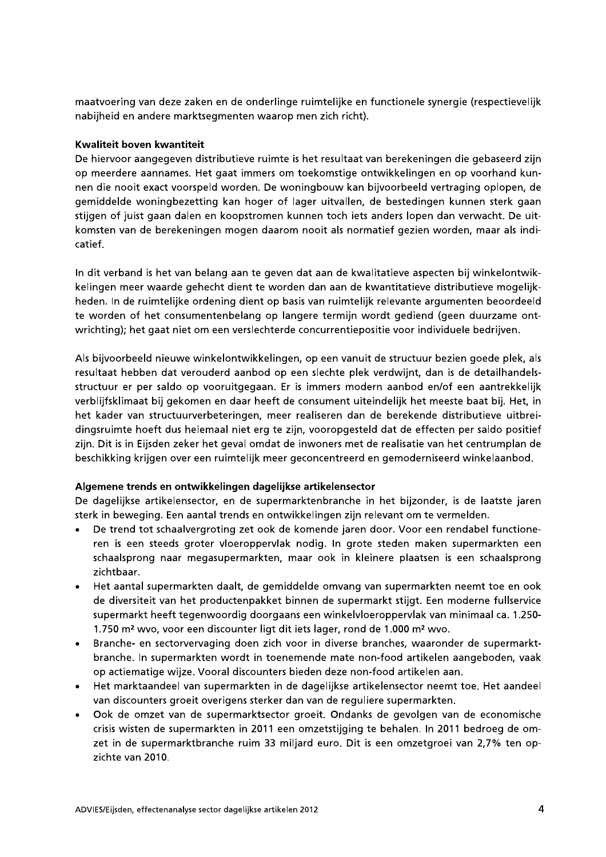maatvoering van deze zaken en de onderlinge ruimtelijke en functionele synergie (respectievelijk nabijheid en andere marktsegmenten waarop men zich richt).

### **Kwaliteit boven kwantiteit**

De hiervoor aangegeven distributieve ruimte is het resultaat van berekeningen die gebaseerd zijn op meerdere aannames. Het gaat immers om toekomstige ontwikkelingen en op voorhand kunnen die nooit exact voorspeld worden. De woningbouw kan bijvoorbeeld vertraging oplopen, de gemiddelde woningbezetting kan hoger of lager uitvallen, de bestedingen kunnen sterk gaan stijgen of juist gaan dalen en koopstromen kunnen toch iets anders lopen dan verwacht. De uitkomsten van de berekeningen mogen daarom nooit als normatief gezien worden, maar als indicatief.

In dit verband is het van belang aan te geven dat aan de kwalitatieve aspecten bij winkelontwikkelingen meer waarde gehecht dient te worden dan aan de kwantitatieve distributieve mogelijkheden. In de ruimtelijke ordening dient op basis van ruimtelijk relevante argumenten beoordeeld te worden of het consumentenbelang op langere termijn wordt gediend (geen duurzame ontwrichting); het gaat niet om een verslechterde concurrentiepositie voor individuele bedrijven.

Als bijvoorbeeld nieuwe winkelontwikkelingen, op een vanuit de structuur bezien goede plek, als resultaat hebben dat verouderd aanbod op een slechte plek verdwijnt, dan is de detailhandelsstructuur er per saldo op vooruitgegaan. Er is immers modern aanbod en/of een aantrekkelijk verblijfsklimaat bij gekomen en daar heeft de consument uiteindelijk het meeste baat bij. Het, in het kader van structuurverbeteringen, meer realiseren dan de berekende distributieve uitbreidingsruimte hoeft dus helemaal niet erg te zijn, vooropgesteld dat de effecten per saldo positief zijn. Dit is in Eijsden zeker het geval omdat de inwoners met de realisatie van het centrumplan de beschikking krijgen over een ruimtelijk meer geconcentreerd en gemoderniseerd winkelaanbod.

### Algemene trends en ontwikkelingen dagelijkse artikelensector

De dagelijkse artikelensector, en de supermarktenbranche in het bijzonder, is de laatste jaren sterk in beweging. Een aantal trends en ontwikkelingen zijn relevant om te vermelden.

- De trend tot schaalvergroting zet ook de komende jaren door. Voor een rendabel functione- $\bullet$ ren is een steeds groter vloeroppervlak nodig. In grote steden maken supermarkten een schaalsprong naar megasupermarkten, maar ook in kleinere plaatsen is een schaalsprong zichtbaar.
- Het aantal supermarkten daalt, de gemiddelde omvang van supermarkten neemt toe en ook  $\bullet$ de diversiteit van het productenpakket binnen de supermarkt stijgt. Een moderne fullservice supermarkt heeft tegenwoordig doorgaans een winkelvloeroppervlak van minimaal ca. 1.250-1.750 m<sup>2</sup> wvo, voor een discounter ligt dit iets lager, rond de 1.000 m<sup>2</sup> wvo.
- Branche- en sectorvervaging doen zich voor in diverse branches, waaronder de supermarkt- $\bullet$ branche. In supermarkten wordt in toenemende mate non-food artikelen aangeboden, vaak op actiematige wijze. Vooral discounters bieden deze non-food artikelen aan.
- Het marktaandeel van supermarkten in de dagelijkse artikelensector neemt toe. Het aandeel  $\bullet$ van discounters groeit overigens sterker dan van de reguliere supermarkten.
- Ook de omzet van de supermarktsector groeit. Ondanks de gevolgen van de economische  $\bullet$ crisis wisten de supermarkten in 2011 een omzetstijging te behalen. In 2011 bedroeg de omzet in de supermarktbranche ruim 33 miljard euro. Dit is een omzetgroei van 2,7% ten opzichte van 2010.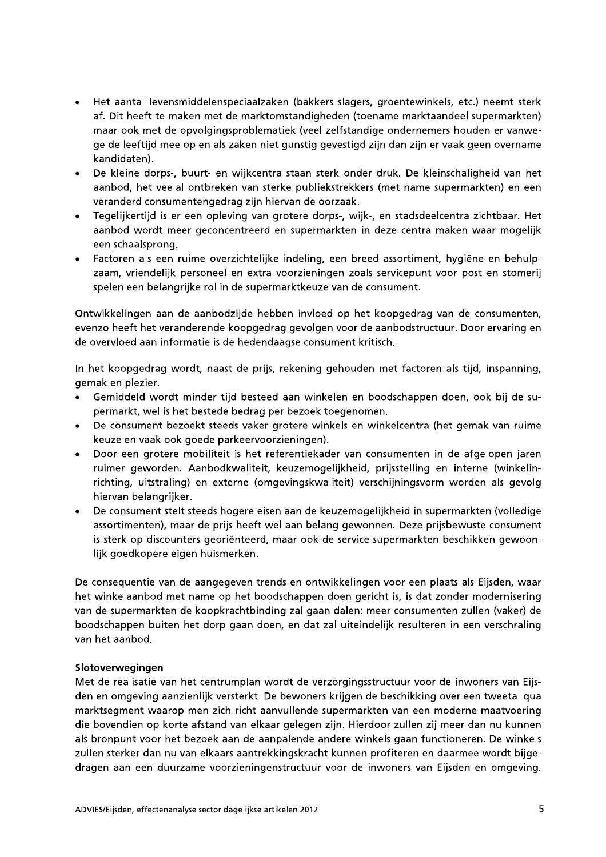- Het aantal levensmiddelenspeciaalzaken (bakkers slagers, groentewinkels, etc.) neemt sterk  $\bullet$ af. Dit heeft te maken met de marktomstandigheden (toename marktaandeel supermarkten) maar ook met de opvolgingsproblematiek (veel zelfstandige ondernemers houden er vanwege de leeftijd mee op en als zaken niet gunstig gevestigd zijn dan zijn er vaak geen overname kandidaten).
- De kleine dorps-, buurt- en wijkcentra staan sterk onder druk. De kleinschaligheid van het aanbod, het veelal ontbreken van sterke publiekstrekkers (met name supermarkten) en een veranderd consumentengedrag zijn hiervan de oorzaak.
- Tegelijkertijd is er een opleving van grotere dorps-, wijk-, en stadsdeelcentra zichtbaar. Het aanbod wordt meer geconcentreerd en supermarkten in deze centra maken waar mogelijk een schaalsprong.
- · Factoren als een ruime overzichtelijke indeling, een breed assortiment, hygiëne en behulpzaam, vriendelijk personeel en extra voorzieningen zoals servicepunt voor post en stomerij spelen een belangrijke rol in de supermarktkeuze van de consument.

Ontwikkelingen aan de aanbodzijde hebben invloed op het koopgedrag van de consumenten, evenzo heeft het veranderende koopgedrag gevolgen voor de aanbodstructuur. Door ervaring en de overvloed aan informatie is de hedendaagse consument kritisch.

In het koopgedrag wordt, naast de prijs, rekening gehouden met factoren als tijd, inspanning, gemak en plezier.

- Gemiddeld wordt minder tijd besteed aan winkelen en boodschappen doen, ook bij de supermarkt, wel is het bestede bedrag per bezoek toegenomen.
- De consument bezoekt steeds vaker grotere winkels en winkelcentra (het gemak van ruime keuze en vaak ook goede parkeervoorzieningen).
- Door een grotere mobiliteit is het referentiekader van consumenten in de afgelopen jaren  $\bullet$ ruimer geworden. Aanbodkwaliteit, keuzemogelijkheid, prijsstelling en interne (winkelinrichting, uitstraling) en externe (omgevingskwaliteit) verschijningsvorm worden als gevolg hiervan belangrijker.
- De consument stelt steeds hogere eisen aan de keuzemogelijkheid in supermarkten (volledige assortimenten), maar de prijs heeft wel aan belang gewonnen. Deze prijsbewuste consument is sterk op discounters georiënteerd, maar ook de service-supermarkten beschikken gewoonlijk goedkopere eigen huismerken.

De consequentie van de aangegeven trends en ontwikkelingen voor een plaats als Eijsden, waar het winkelaanbod met name op het boodschappen doen gericht is, is dat zonder modernisering van de supermarkten de koopkrachtbinding zal gaan dalen: meer consumenten zullen (vaker) de boodschappen buiten het dorp gaan doen, en dat zal uiteindelijk resulteren in een verschraling van het aanbod.

### Slotoverwegingen

Met de realisatie van het centrumplan wordt de verzorgingsstructuur voor de inwoners van Eijsden en omgeving aanzienlijk versterkt. De bewoners krijgen de beschikking over een tweetal gua marktsegment waarop men zich richt aanvullende supermarkten van een moderne maatvoering die bovendien op korte afstand van elkaar gelegen zijn. Hierdoor zullen zij meer dan nu kunnen als bronpunt voor het bezoek aan de aanpalende andere winkels gaan functioneren. De winkels zullen sterker dan nu van elkaars aantrekkingskracht kunnen profiteren en daarmee wordt bijgedragen aan een duurzame voorzieningenstructuur voor de inwoners van Eijsden en omgeving.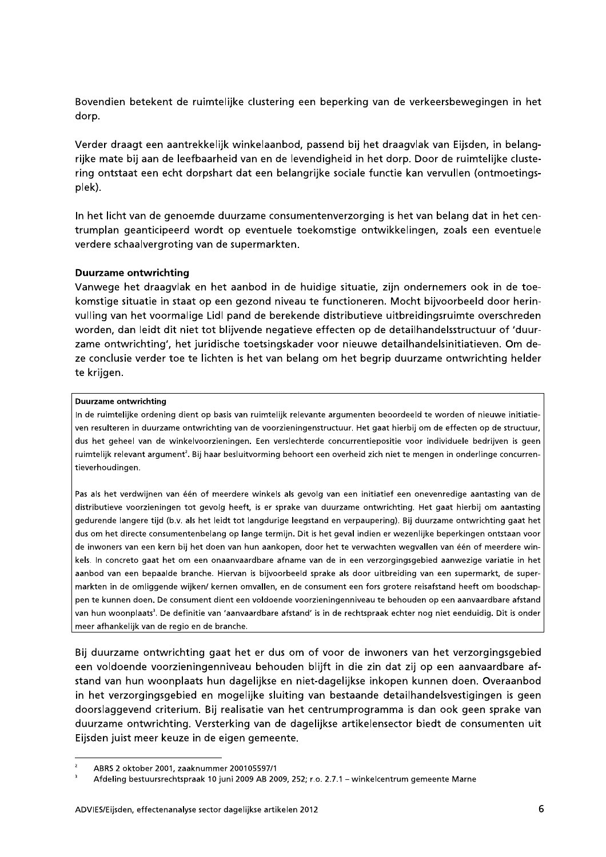Bovendien betekent de ruimtelijke clustering een beperking van de verkeersbewegingen in het dorp.

Verder draagt een aantrekkelijk winkelaanbod, passend bij het draagvlak van Eijsden, in belangrijke mate bij aan de leefbaarheid van en de levendigheid in het dorp. Door de ruimtelijke clustering ontstaat een echt dorpshart dat een belangrijke sociale functie kan vervullen (ontmoetingsplek).

In het licht van de genoemde duurzame consumentenverzorging is het van belang dat in het centrumplan geanticipeerd wordt op eventuele toekomstige ontwikkelingen, zoals een eventuele verdere schaalvergroting van de supermarkten.

### **Duurzame ontwrichting**

Vanwege het draagvlak en het aanbod in de huidige situatie, zijn ondernemers ook in de toekomstige situatie in staat op een gezond niveau te functioneren. Mocht bijvoorbeeld door herinvulling van het voormalige Lidl pand de berekende distributieve uitbreidingsruimte overschreden worden, dan leidt dit niet tot blijvende negatieve effecten op de detailhandelsstructuur of 'duurzame ontwrichting', het juridische toetsingskader voor nieuwe detailhandelsinitiatieven. Om deze conclusie verder toe te lichten is het van belang om het begrip duurzame ontwrichting helder te krijgen.

#### **Duurzame ontwrichting**

In de ruimtelijke ordening dient op basis van ruimtelijk relevante argumenten beoordeeld te worden of nieuwe initiatieven resulteren in duurzame ontwrichting van de voorzieningenstructuur. Het gaat hierbij om de effecten op de structuur, dus het geheel van de winkelvoorzieningen. Een verslechterde concurrentiepositie voor individuele bedrijven is geen ruimtelijk relevant argument<sup>2</sup>. Bij haar besluitvorming behoort een overheid zich niet te mengen in onderlinge concurrentieverhoudingen.

Pas als het verdwijnen van één of meerdere winkels als gevolg van een initiatief een onevenredige aantasting van de distributieve voorzieningen tot gevolg heeft, is er sprake van duurzame ontwrichting. Het gaat hierbij om aantasting gedurende langere tijd (b.v. als het leidt tot langdurige leegstand en verpaupering). Bij duurzame ontwrichting gaat het dus om het directe consumentenbelang op lange termijn. Dit is het geval indien er wezenlijke beperkingen ontstaan voor de inwoners van een kern bij het doen van hun aankopen, door het te verwachten wegvallen van één of meerdere winkels. In concreto gaat het om een onaanvaardbare afname van de in een verzorgingsgebied aanwezige variatie in het aanbod van een bepaalde branche. Hiervan is bijvoorbeeld sprake als door uitbreiding van een supermarkt, de supermarkten in de omliggende wijken/ kernen omvallen, en de consument een fors grotere reisafstand heeft om boodschappen te kunnen doen. De consument dient een voldoende voorzieningenniveau te behouden op een aanvaardbare afstand van hun woonplaats<sup>3</sup>. De definitie van 'aanvaardbare afstand' is in de rechtspraak echter nog niet eenduidig. Dit is onder meer afhankelijk van de regio en de branche.

Bij duurzame ontwrichting gaat het er dus om of voor de inwoners van het verzorgingsgebied een voldoende voorzieningenniveau behouden blijft in die zin dat zij op een aanvaardbare afstand van hun woonplaats hun dagelijkse en niet-dagelijkse inkopen kunnen doen. Overaanbod in het verzorgingsgebied en mogelijke sluiting van bestaande detailhandelsvestigingen is geen doorslaggevend criterium. Bij realisatie van het centrumprogramma is dan ook geen sprake van duurzame ontwrichting. Versterking van de dagelijkse artikelensector biedt de consumenten uit Eijsden juist meer keuze in de eigen gemeente.

 $\overline{a}$ ABRS 2 oktober 2001, zaaknummer 200105597/1

Afdeling bestuursrechtspraak 10 juni 2009 AB 2009, 252; r.o. 2.7.1 - winkelcentrum gemeente Marne